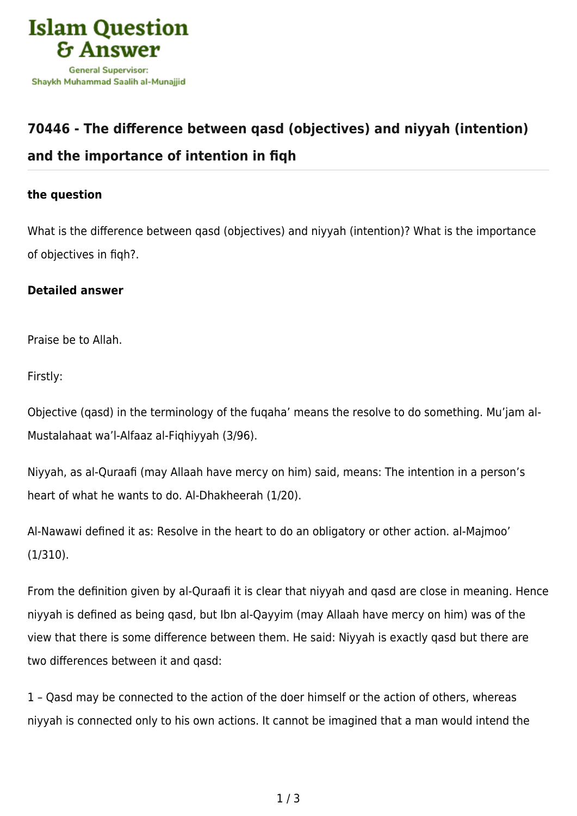

## **[70446 - The difference between qasd \(objectives\) and niyyah \(intention\)](https://islamqa.com/en/answers/70446/the-difference-between-qasd-objectives-and-niyyah-intention-and-the-importance-of-intention-in-fiqh) [and the importance of intention in fiqh](https://islamqa.com/en/answers/70446/the-difference-between-qasd-objectives-and-niyyah-intention-and-the-importance-of-intention-in-fiqh)**

## **the question**

What is the difference between qasd (objectives) and niyyah (intention)? What is the importance of objectives in fiqh?.

## **Detailed answer**

Praise be to Allah.

Firstly:

Objective (qasd) in the terminology of the fuqaha' means the resolve to do something. Mu'jam al-Mustalahaat wa'l-Alfaaz al-Fiqhiyyah (3/96).

Niyyah, as al-Quraafi (may Allaah have mercy on him) said, means: The intention in a person's heart of what he wants to do. Al-Dhakheerah (1/20).

Al-Nawawi defined it as: Resolve in the heart to do an obligatory or other action. al-Majmoo' (1/310).

From the definition given by al-Quraafi it is clear that niyyah and qasd are close in meaning. Hence niyyah is defined as being qasd, but Ibn al-Qayyim (may Allaah have mercy on him) was of the view that there is some difference between them. He said: Niyyah is exactly qasd but there are two differences between it and qasd:

1 – Qasd may be connected to the action of the doer himself or the action of others, whereas niyyah is connected only to his own actions. It cannot be imagined that a man would intend the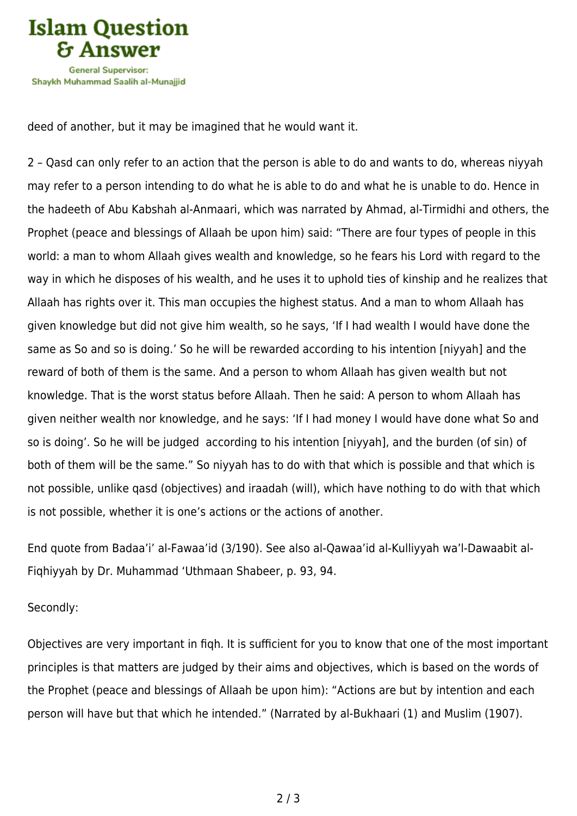

deed of another, but it may be imagined that he would want it.

2 – Qasd can only refer to an action that the person is able to do and wants to do, whereas niyyah may refer to a person intending to do what he is able to do and what he is unable to do. Hence in the hadeeth of Abu Kabshah al-Anmaari, which was narrated by Ahmad, al-Tirmidhi and others, the Prophet (peace and blessings of Allaah be upon him) said: "There are four types of people in this world: a man to whom Allaah gives wealth and knowledge, so he fears his Lord with regard to the way in which he disposes of his wealth, and he uses it to uphold ties of kinship and he realizes that Allaah has rights over it. This man occupies the highest status. And a man to whom Allaah has given knowledge but did not give him wealth, so he says, 'If I had wealth I would have done the same as So and so is doing.' So he will be rewarded according to his intention [niyyah] and the reward of both of them is the same. And a person to whom Allaah has given wealth but not knowledge. That is the worst status before Allaah. Then he said: A person to whom Allaah has given neither wealth nor knowledge, and he says: 'If I had money I would have done what So and so is doing'. So he will be judged according to his intention [niyyah], and the burden (of sin) of both of them will be the same." So niyyah has to do with that which is possible and that which is not possible, unlike qasd (objectives) and iraadah (will), which have nothing to do with that which is not possible, whether it is one's actions or the actions of another.

End quote from Badaa'i' al-Fawaa'id (3/190). See also al-Qawaa'id al-Kulliyyah wa'l-Dawaabit al-Fiqhiyyah by Dr. Muhammad 'Uthmaan Shabeer, p. 93, 94.

## Secondly:

Objectives are very important in fiqh. It is sufficient for you to know that one of the most important principles is that matters are judged by their aims and objectives, which is based on the words of the Prophet (peace and blessings of Allaah be upon him): "Actions are but by intention and each person will have but that which he intended." (Narrated by al-Bukhaari (1) and Muslim (1907).